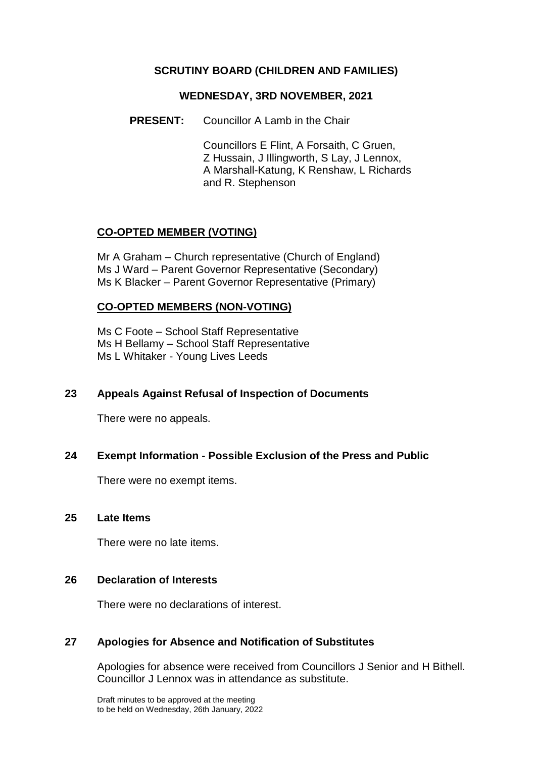### **SCRUTINY BOARD (CHILDREN AND FAMILIES)**

#### **WEDNESDAY, 3RD NOVEMBER, 2021**

**PRESENT:** Councillor A Lamb in the Chair

Councillors E Flint, A Forsaith, C Gruen, Z Hussain, J Illingworth, S Lay, J Lennox, A Marshall-Katung, K Renshaw, L Richards and R. Stephenson

## **CO-OPTED MEMBER (VOTING)**

Mr A Graham – Church representative (Church of England) Ms J Ward – Parent Governor Representative (Secondary) Ms K Blacker – Parent Governor Representative (Primary)

### **CO-OPTED MEMBERS (NON-VOTING)**

Ms C Foote – School Staff Representative Ms H Bellamy – School Staff Representative Ms L Whitaker - Young Lives Leeds

### **23 Appeals Against Refusal of Inspection of Documents**

There were no appeals.

### **24 Exempt Information - Possible Exclusion of the Press and Public**

There were no exempt items.

#### **25 Late Items**

There were no late items.

### **26 Declaration of Interests**

There were no declarations of interest.

### **27 Apologies for Absence and Notification of Substitutes**

Apologies for absence were received from Councillors J Senior and H Bithell. Councillor J Lennox was in attendance as substitute.

Draft minutes to be approved at the meeting to be held on Wednesday, 26th January, 2022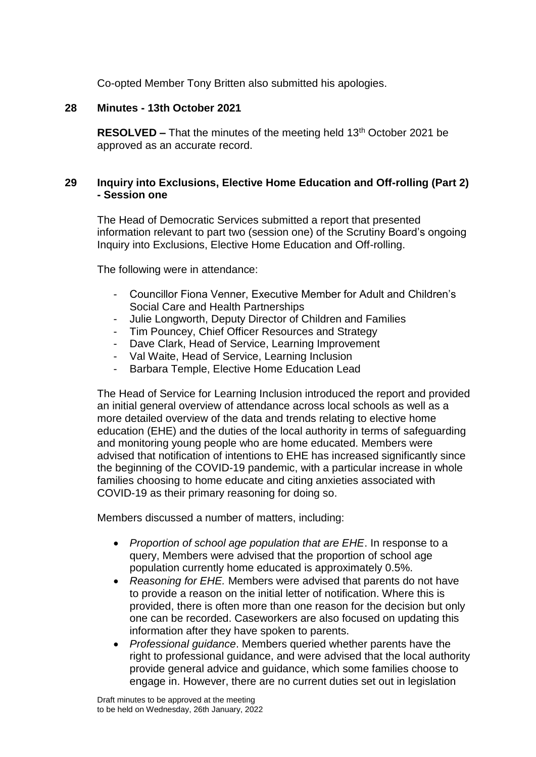Co-opted Member Tony Britten also submitted his apologies.

## **28 Minutes - 13th October 2021**

**RESOLVED –** That the minutes of the meeting held 13<sup>th</sup> October 2021 be approved as an accurate record.

## **29 Inquiry into Exclusions, Elective Home Education and Off-rolling (Part 2) - Session one**

The Head of Democratic Services submitted a report that presented information relevant to part two (session one) of the Scrutiny Board's ongoing Inquiry into Exclusions, Elective Home Education and Off-rolling.

The following were in attendance:

- Councillor Fiona Venner, Executive Member for Adult and Children's Social Care and Health Partnerships
- Julie Longworth, Deputy Director of Children and Families
- Tim Pouncey, Chief Officer Resources and Strategy
- Dave Clark, Head of Service, Learning Improvement
- Val Waite, Head of Service, Learning Inclusion
- Barbara Temple, Elective Home Education Lead

The Head of Service for Learning Inclusion introduced the report and provided an initial general overview of attendance across local schools as well as a more detailed overview of the data and trends relating to elective home education (EHE) and the duties of the local authority in terms of safeguarding and monitoring young people who are home educated. Members were advised that notification of intentions to EHE has increased significantly since the beginning of the COVID-19 pandemic, with a particular increase in whole families choosing to home educate and citing anxieties associated with COVID-19 as their primary reasoning for doing so.

Members discussed a number of matters, including:

- *Proportion of school age population that are EHE*. In response to a query, Members were advised that the proportion of school age population currently home educated is approximately 0.5%.
- *Reasoning for EHE.* Members were advised that parents do not have to provide a reason on the initial letter of notification. Where this is provided, there is often more than one reason for the decision but only one can be recorded. Caseworkers are also focused on updating this information after they have spoken to parents.
- *Professional guidance*. Members queried whether parents have the right to professional guidance, and were advised that the local authority provide general advice and guidance, which some families choose to engage in. However, there are no current duties set out in legislation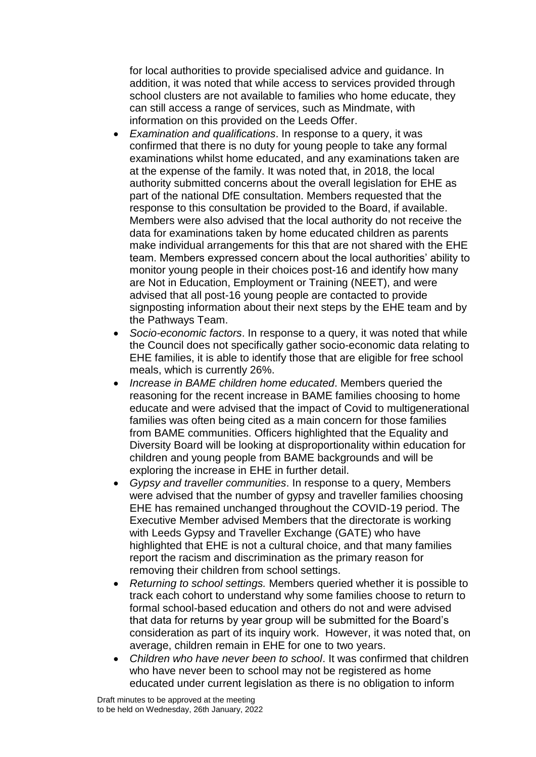for local authorities to provide specialised advice and guidance. In addition, it was noted that while access to services provided through school clusters are not available to families who home educate, they can still access a range of services, such as Mindmate, with information on this provided on the Leeds Offer.

- *Examination and qualifications*. In response to a query, it was confirmed that there is no duty for young people to take any formal examinations whilst home educated, and any examinations taken are at the expense of the family. It was noted that, in 2018, the local authority submitted concerns about the overall legislation for EHE as part of the national DfE consultation. Members requested that the response to this consultation be provided to the Board, if available. Members were also advised that the local authority do not receive the data for examinations taken by home educated children as parents make individual arrangements for this that are not shared with the EHE team. Members expressed concern about the local authorities' ability to monitor young people in their choices post-16 and identify how many are Not in Education, Employment or Training (NEET), and were advised that all post-16 young people are contacted to provide signposting information about their next steps by the EHE team and by the Pathways Team.
- *Socio-economic factors*. In response to a query, it was noted that while the Council does not specifically gather socio-economic data relating to EHE families, it is able to identify those that are eligible for free school meals, which is currently 26%.
- *Increase in BAME children home educated*. Members queried the reasoning for the recent increase in BAME families choosing to home educate and were advised that the impact of Covid to multigenerational families was often being cited as a main concern for those families from BAME communities. Officers highlighted that the Equality and Diversity Board will be looking at disproportionality within education for children and young people from BAME backgrounds and will be exploring the increase in EHE in further detail.
- *Gypsy and traveller communities*. In response to a query, Members were advised that the number of gypsy and traveller families choosing EHE has remained unchanged throughout the COVID-19 period. The Executive Member advised Members that the directorate is working with Leeds Gypsy and Traveller Exchange (GATE) who have highlighted that EHE is not a cultural choice, and that many families report the racism and discrimination as the primary reason for removing their children from school settings.
- *Returning to school settings.* Members queried whether it is possible to track each cohort to understand why some families choose to return to formal school-based education and others do not and were advised that data for returns by year group will be submitted for the Board's consideration as part of its inquiry work. However, it was noted that, on average, children remain in EHE for one to two years.
- *Children who have never been to school*. It was confirmed that children who have never been to school may not be registered as home educated under current legislation as there is no obligation to inform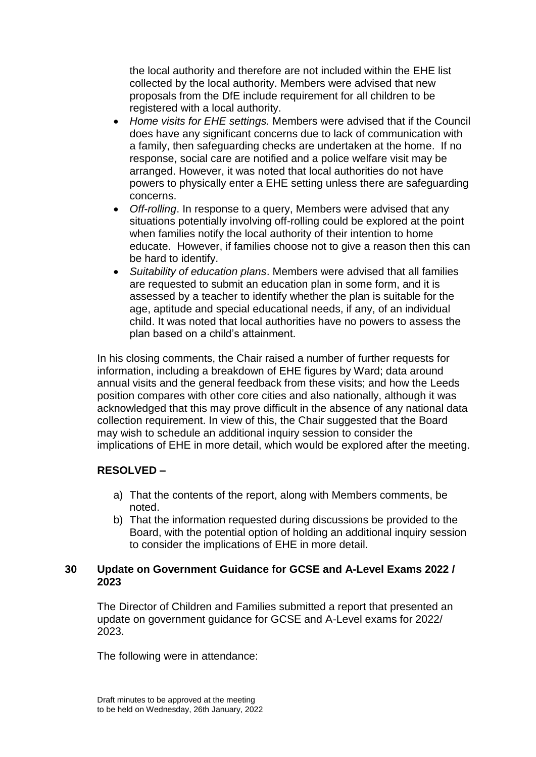the local authority and therefore are not included within the EHE list collected by the local authority. Members were advised that new proposals from the DfE include requirement for all children to be registered with a local authority.

- *Home visits for EHE settings.* Members were advised that if the Council does have any significant concerns due to lack of communication with a family, then safeguarding checks are undertaken at the home. If no response, social care are notified and a police welfare visit may be arranged. However, it was noted that local authorities do not have powers to physically enter a EHE setting unless there are safeguarding concerns.
- *Off-rolling*. In response to a query, Members were advised that any situations potentially involving off-rolling could be explored at the point when families notify the local authority of their intention to home educate. However, if families choose not to give a reason then this can be hard to identify.
- *Suitability of education plans*. Members were advised that all families are requested to submit an education plan in some form, and it is assessed by a teacher to identify whether the plan is suitable for the age, aptitude and special educational needs, if any, of an individual child. It was noted that local authorities have no powers to assess the plan based on a child's attainment.

In his closing comments, the Chair raised a number of further requests for information, including a breakdown of EHE figures by Ward; data around annual visits and the general feedback from these visits; and how the Leeds position compares with other core cities and also nationally, although it was acknowledged that this may prove difficult in the absence of any national data collection requirement. In view of this, the Chair suggested that the Board may wish to schedule an additional inquiry session to consider the implications of EHE in more detail, which would be explored after the meeting.

### **RESOLVED –**

- a) That the contents of the report, along with Members comments, be noted.
- b) That the information requested during discussions be provided to the Board, with the potential option of holding an additional inquiry session to consider the implications of EHE in more detail.

## **30 Update on Government Guidance for GCSE and A-Level Exams 2022 / 2023**

The Director of Children and Families submitted a report that presented an update on government guidance for GCSE and A-Level exams for 2022/ 2023.

The following were in attendance: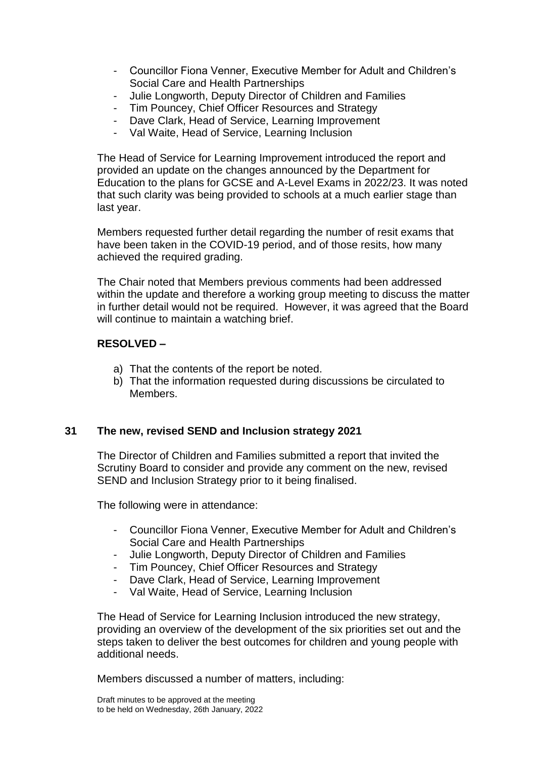- Councillor Fiona Venner, Executive Member for Adult and Children's Social Care and Health Partnerships
- Julie Longworth, Deputy Director of Children and Families
- Tim Pouncey, Chief Officer Resources and Strategy
- Dave Clark, Head of Service, Learning Improvement
- Val Waite, Head of Service, Learning Inclusion

The Head of Service for Learning Improvement introduced the report and provided an update on the changes announced by the Department for Education to the plans for GCSE and A-Level Exams in 2022/23. It was noted that such clarity was being provided to schools at a much earlier stage than last year.

Members requested further detail regarding the number of resit exams that have been taken in the COVID-19 period, and of those resits, how many achieved the required grading.

The Chair noted that Members previous comments had been addressed within the update and therefore a working group meeting to discuss the matter in further detail would not be required. However, it was agreed that the Board will continue to maintain a watching brief.

#### **RESOLVED –**

- a) That the contents of the report be noted.
- b) That the information requested during discussions be circulated to Members.

### **31 The new, revised SEND and Inclusion strategy 2021**

The Director of Children and Families submitted a report that invited the Scrutiny Board to consider and provide any comment on the new, revised SEND and Inclusion Strategy prior to it being finalised.

The following were in attendance:

- Councillor Fiona Venner, Executive Member for Adult and Children's Social Care and Health Partnerships
- Julie Longworth, Deputy Director of Children and Families
- Tim Pouncey, Chief Officer Resources and Strategy
- Dave Clark, Head of Service, Learning Improvement
- Val Waite, Head of Service, Learning Inclusion

The Head of Service for Learning Inclusion introduced the new strategy, providing an overview of the development of the six priorities set out and the steps taken to deliver the best outcomes for children and young people with additional needs.

Members discussed a number of matters, including: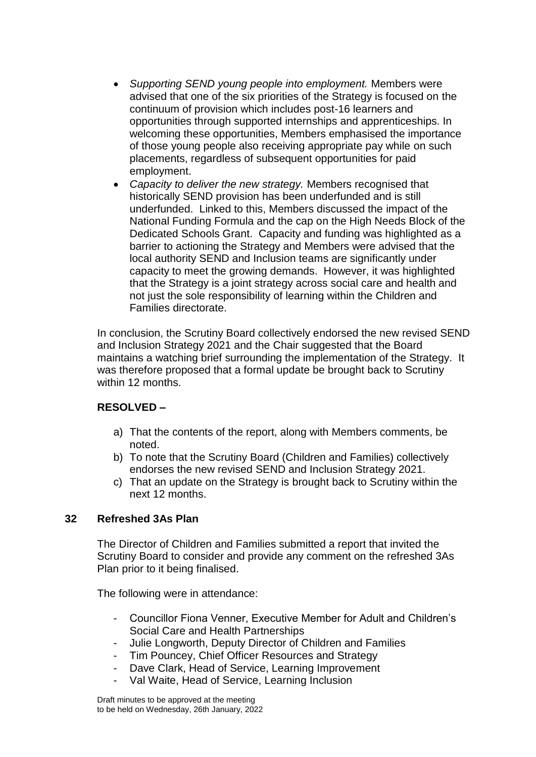- *Supporting SEND young people into employment.* Members were advised that one of the six priorities of the Strategy is focused on the continuum of provision which includes post-16 learners and opportunities through supported internships and apprenticeships. In welcoming these opportunities, Members emphasised the importance of those young people also receiving appropriate pay while on such placements, regardless of subsequent opportunities for paid employment.
- *Capacity to deliver the new strategy.* Members recognised that historically SEND provision has been underfunded and is still underfunded. Linked to this, Members discussed the impact of the National Funding Formula and the cap on the High Needs Block of the Dedicated Schools Grant. Capacity and funding was highlighted as a barrier to actioning the Strategy and Members were advised that the local authority SEND and Inclusion teams are significantly under capacity to meet the growing demands. However, it was highlighted that the Strategy is a joint strategy across social care and health and not just the sole responsibility of learning within the Children and Families directorate.

In conclusion, the Scrutiny Board collectively endorsed the new revised SEND and Inclusion Strategy 2021 and the Chair suggested that the Board maintains a watching brief surrounding the implementation of the Strategy. It was therefore proposed that a formal update be brought back to Scrutiny within 12 months.

# **RESOLVED –**

- a) That the contents of the report, along with Members comments, be noted.
- b) To note that the Scrutiny Board (Children and Families) collectively endorses the new revised SEND and Inclusion Strategy 2021.
- c) That an update on the Strategy is brought back to Scrutiny within the next 12 months.

### **32 Refreshed 3As Plan**

The Director of Children and Families submitted a report that invited the Scrutiny Board to consider and provide any comment on the refreshed 3As Plan prior to it being finalised.

The following were in attendance:

- Councillor Fiona Venner, Executive Member for Adult and Children's Social Care and Health Partnerships
- Julie Longworth, Deputy Director of Children and Families
- Tim Pouncey, Chief Officer Resources and Strategy
- Dave Clark, Head of Service, Learning Improvement
- Val Waite, Head of Service, Learning Inclusion

Draft minutes to be approved at the meeting to be held on Wednesday, 26th January, 2022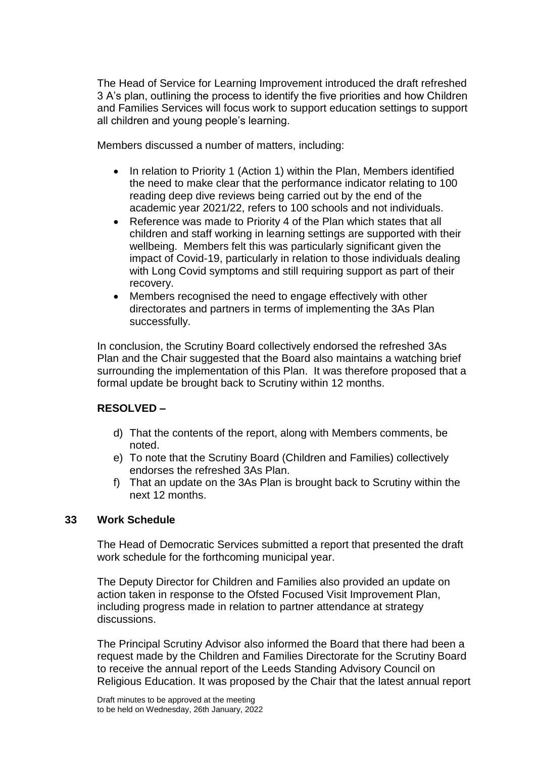The Head of Service for Learning Improvement introduced the draft refreshed 3 A's plan, outlining the process to identify the five priorities and how Children and Families Services will focus work to support education settings to support all children and young people's learning.

Members discussed a number of matters, including:

- In relation to Priority 1 (Action 1) within the Plan, Members identified the need to make clear that the performance indicator relating to 100 reading deep dive reviews being carried out by the end of the academic year 2021/22, refers to 100 schools and not individuals.
- Reference was made to Priority 4 of the Plan which states that all children and staff working in learning settings are supported with their wellbeing. Members felt this was particularly significant given the impact of Covid-19, particularly in relation to those individuals dealing with Long Covid symptoms and still requiring support as part of their recovery.
- Members recognised the need to engage effectively with other directorates and partners in terms of implementing the 3As Plan successfully.

In conclusion, the Scrutiny Board collectively endorsed the refreshed 3As Plan and the Chair suggested that the Board also maintains a watching brief surrounding the implementation of this Plan. It was therefore proposed that a formal update be brought back to Scrutiny within 12 months.

# **RESOLVED –**

- d) That the contents of the report, along with Members comments, be noted.
- e) To note that the Scrutiny Board (Children and Families) collectively endorses the refreshed 3As Plan.
- f) That an update on the 3As Plan is brought back to Scrutiny within the next 12 months.

### **33 Work Schedule**

The Head of Democratic Services submitted a report that presented the draft work schedule for the forthcoming municipal year.

The Deputy Director for Children and Families also provided an update on action taken in response to the Ofsted Focused Visit Improvement Plan, including progress made in relation to partner attendance at strategy discussions.

The Principal Scrutiny Advisor also informed the Board that there had been a request made by the Children and Families Directorate for the Scrutiny Board to receive the annual report of the Leeds Standing Advisory Council on Religious Education. It was proposed by the Chair that the latest annual report